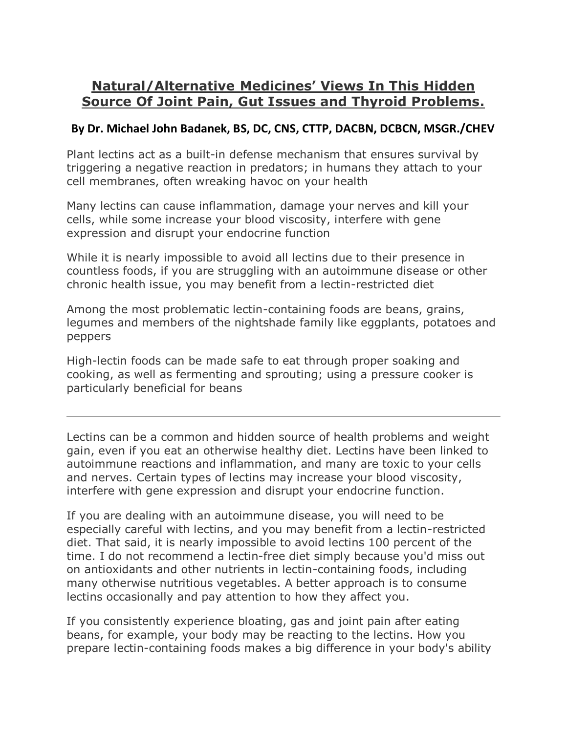# **Natural/Alternative Medicines' Views In This Hidden Source Of Joint Pain, Gut Issues and Thyroid Problems.**

#### **By Dr. Michael John Badanek, BS, DC, CNS, CTTP, DACBN, DCBCN, MSGR./CHEV**

Plant lectins act as a built-in defense mechanism that ensures survival by triggering a negative reaction in predators; in humans they attach to your cell membranes, often wreaking havoc on your health

Many lectins can cause inflammation, damage your nerves and kill your cells, while some increase your blood viscosity, interfere with gene expression and disrupt your endocrine function

While it is nearly impossible to avoid all lectins due to their presence in countless foods, if you are struggling with an autoimmune disease or other chronic health issue, you may benefit from a lectin-restricted diet

Among the most problematic lectin-containing foods are beans, grains, legumes and members of the nightshade family like eggplants, potatoes and peppers

High-lectin foods can be made safe to eat through proper soaking and cooking, as well as fermenting and sprouting; using a pressure cooker is particularly beneficial for beans

Lectins can be a common and hidden source of health problems and weight gain, even if you eat an otherwise healthy diet. Lectins have been linked to autoimmune reactions and inflammation, and many are toxic to your cells and nerves. Certain types of lectins may increase your blood viscosity, interfere with gene expression and disrupt your endocrine function.

If you are dealing with an autoimmune disease, you will need to be especially careful with lectins, and you may benefit from a lectin-restricted diet. That said, it is nearly impossible to avoid lectins 100 percent of the time. I do not recommend a lectin-free diet simply because you'd miss out on antioxidants and other nutrients in lectin-containing foods, including many otherwise nutritious vegetables. A better approach is to consume lectins occasionally and pay attention to how they affect you.

If you consistently experience bloating, gas and joint pain after eating beans, for example, your body may be reacting to the lectins. How you prepare lectin-containing foods makes a big difference in your body's ability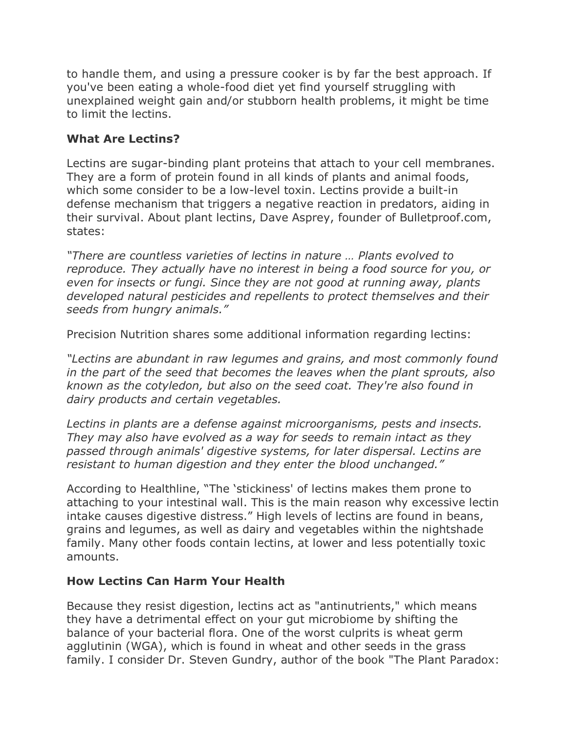to handle them, and using a pressure cooker is by far the best approach. If you've been eating a whole-food diet yet find yourself struggling with unexplained weight gain and/or stubborn health problems, it might be time to limit the lectins.

## **What Are Lectins?**

Lectins are sugar-binding plant proteins that attach to your cell membranes. They are a form of protein found in all kinds of plants and animal foods, which some consider to be a low-level toxin. Lectins provide a built-in defense mechanism that triggers a negative reaction in predators, aiding in their survival. About plant lectins, Dave Asprey, founder of Bulletproof.com, states:

*"There are countless varieties of lectins in nature … Plants evolved to reproduce. They actually have no interest in being a food source for you, or even for insects or fungi. Since they are not good at running away, plants developed natural pesticides and repellents to protect themselves and their seeds from hungry animals."*

Precision Nutrition shares some additional information regarding lectins:

*"Lectins are abundant in raw legumes and grains, and most commonly found in the part of the seed that becomes the leaves when the plant sprouts, also known as the cotyledon, but also on the seed coat. They're also found in dairy products and certain vegetables.*

*Lectins in plants are a defense against microorganisms, pests and insects. They may also have evolved as a way for seeds to remain intact as they passed through animals' digestive systems, for later dispersal. Lectins are resistant to human digestion and they enter the blood unchanged."*

According to Healthline, "The 'stickiness' of lectins makes them prone to attaching to your intestinal wall. This is the main reason why excessive lectin intake causes digestive distress." High levels of lectins are found in beans, grains and legumes, as well as dairy and vegetables within the nightshade family. Many other foods contain lectins, at lower and less potentially toxic amounts.

## **How Lectins Can Harm Your Health**

Because they resist digestion, lectins act as "antinutrients," which means they have a detrimental effect on your gut microbiome by shifting the balance of your bacterial flora. One of the worst culprits is wheat germ agglutinin (WGA), which is found in wheat and other seeds in the grass family. I consider Dr. Steven Gundry, author of the book "The Plant Paradox: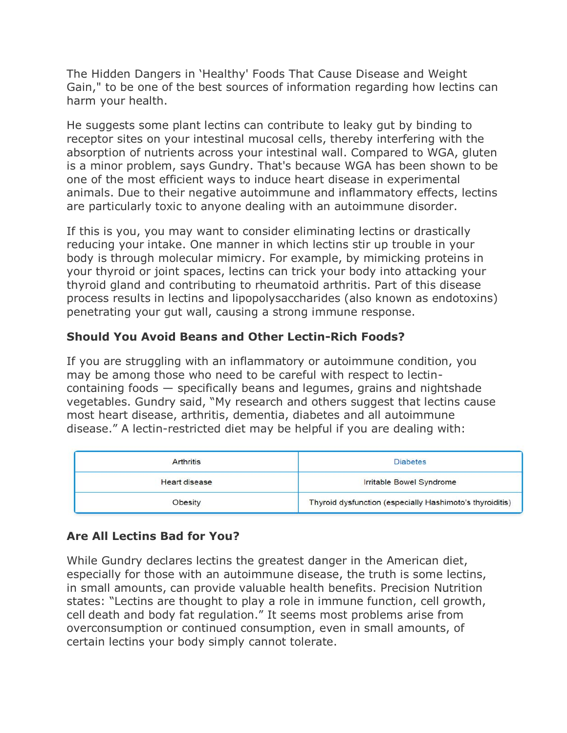The Hidden Dangers in 'Healthy' Foods That Cause Disease and Weight Gain," to be one of the best sources of information regarding how lectins can harm your health.

He suggests some plant lectins can contribute to leaky gut by binding to receptor sites on your intestinal mucosal cells, thereby interfering with the absorption of nutrients across your intestinal wall. Compared to WGA, gluten is a minor problem, says Gundry. That's because WGA has been shown to be one of the most efficient ways to induce heart disease in experimental animals. Due to their negative autoimmune and inflammatory effects, lectins are particularly toxic to anyone dealing with an autoimmune disorder.

If this is you, you may want to consider eliminating lectins or drastically reducing your intake. One manner in which lectins stir up trouble in your body is through molecular mimicry. For example, by mimicking proteins in your thyroid or joint spaces, lectins can trick your body into attacking your thyroid gland and contributing to rheumatoid arthritis. Part of this disease process results in lectins and lipopolysaccharides (also known as endotoxins) penetrating your gut wall, causing a strong immune response.

## **Should You Avoid Beans and Other Lectin-Rich Foods?**

If you are struggling with an inflammatory or autoimmune condition, you may be among those who need to be careful with respect to lectincontaining foods — specifically beans and legumes, grains and nightshade vegetables. Gundry said, "My research and others suggest that lectins cause most heart disease, arthritis, dementia, diabetes and all autoimmune disease." A lectin-restricted diet may be helpful if you are dealing with:

| <b>Arthritis</b>     | <b>Diabetes</b>                                          |
|----------------------|----------------------------------------------------------|
| <b>Heart disease</b> | Irritable Bowel Syndrome                                 |
| Obesity              | Thyroid dysfunction (especially Hashimoto's thyroiditis) |

## **Are All Lectins Bad for You?**

While Gundry declares lectins the greatest danger in the American diet, especially for those with an autoimmune disease, the truth is some lectins, in small amounts, can provide valuable health benefits. Precision Nutrition states: "Lectins are thought to play a role in immune function, cell growth, cell death and body fat regulation." It seems most problems arise from overconsumption or continued consumption, even in small amounts, of certain lectins your body simply cannot tolerate.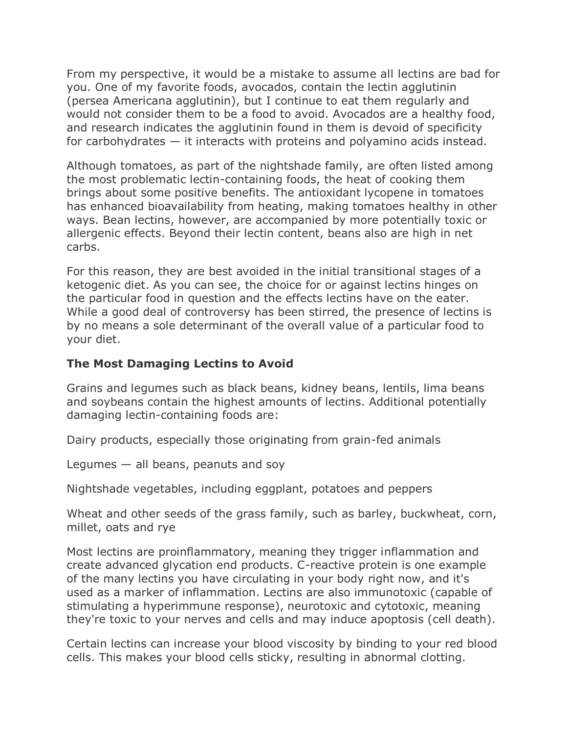From my perspective, it would be a mistake to assume all lectins are bad for you. One of my favorite foods, avocados, contain the lectin agglutinin (persea Americana agglutinin), but I continue to eat them regularly and would not consider them to be a food to avoid. Avocados are a healthy food, and research indicates the agglutinin found in them is devoid of specificity for carbohydrates — it interacts with proteins and polyamino acids instead.

Although tomatoes, as part of the nightshade family, are often listed among the most problematic lectin-containing foods, the heat of cooking them brings about some positive benefits. The antioxidant lycopene in tomatoes has enhanced bioavailability from heating, making tomatoes healthy in other ways. Bean lectins, however, are accompanied by more potentially toxic or allergenic effects. Beyond their lectin content, beans also are high in net carbs.

For this reason, they are best avoided in the initial transitional stages of a ketogenic diet. As you can see, the choice for or against lectins hinges on the particular food in question and the effects lectins have on the eater. While a good deal of controversy has been stirred, the presence of lectins is by no means a sole determinant of the overall value of a particular food to your diet.

#### **The Most Damaging Lectins to Avoid**

Grains and legumes such as black beans, kidney beans, lentils, lima beans and soybeans contain the highest amounts of lectins. Additional potentially damaging lectin-containing foods are:

Dairy products, especially those originating from grain-fed animals

Legumes  $-$  all beans, peanuts and soy

Nightshade vegetables, including eggplant, potatoes and peppers

Wheat and other seeds of the grass family, such as barley, buckwheat, corn, millet, oats and rye

Most lectins are proinflammatory, meaning they trigger inflammation and create advanced glycation end products. C-reactive protein is one example of the many lectins you have circulating in your body right now, and it's used as a marker of inflammation. Lectins are also immunotoxic (capable of stimulating a hyperimmune response), neurotoxic and cytotoxic, meaning they're toxic to your nerves and cells and may induce apoptosis (cell death).

Certain lectins can increase your blood viscosity by binding to your red blood cells. This makes your blood cells sticky, resulting in abnormal clotting.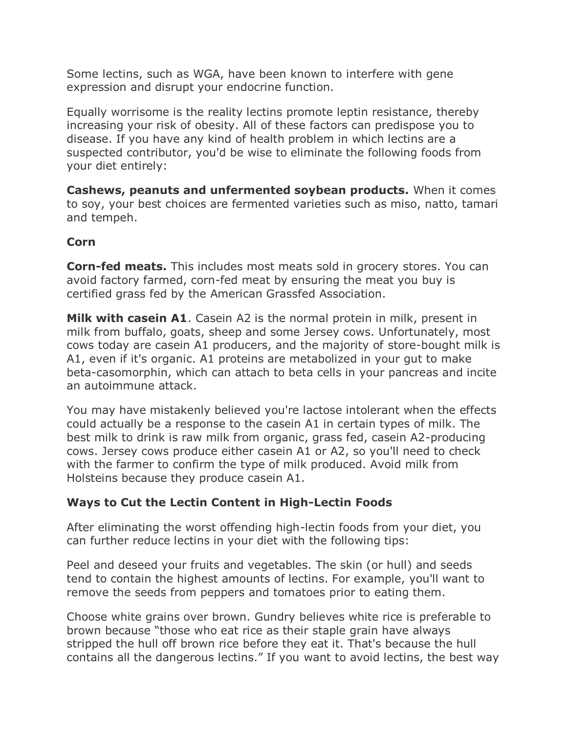Some lectins, such as WGA, have been known to interfere with gene expression and disrupt your endocrine function.

Equally worrisome is the reality lectins promote leptin resistance, thereby increasing your risk of obesity. All of these factors can predispose you to disease. If you have any kind of health problem in which lectins are a suspected contributor, you'd be wise to eliminate the following foods from your diet entirely:

**Cashews, peanuts and unfermented soybean products.** When it comes to soy, your best choices are fermented varieties such as miso, natto, tamari and tempeh.

## **Corn**

**Corn-fed meats.** This includes most meats sold in grocery stores. You can avoid factory farmed, corn-fed meat by ensuring the meat you buy is certified grass fed by the American Grassfed Association.

**Milk with casein A1**. Casein A2 is the normal protein in milk, present in milk from buffalo, goats, sheep and some Jersey cows. Unfortunately, most cows today are casein A1 producers, and the majority of store-bought milk is A1, even if it's organic. A1 proteins are metabolized in your gut to make beta-casomorphin, which can attach to beta cells in your pancreas and incite an autoimmune attack.

You may have mistakenly believed you're lactose intolerant when the effects could actually be a response to the casein A1 in certain types of milk. The best milk to drink is raw milk from organic, grass fed, casein A2-producing cows. Jersey cows produce either casein A1 or A2, so you'll need to check with the farmer to confirm the type of milk produced. Avoid milk from Holsteins because they produce casein A1.

## **Ways to Cut the Lectin Content in High-Lectin Foods**

After eliminating the worst offending high-lectin foods from your diet, you can further reduce lectins in your diet with the following tips:

Peel and deseed your fruits and vegetables. The skin (or hull) and seeds tend to contain the highest amounts of lectins. For example, you'll want to remove the seeds from peppers and tomatoes prior to eating them.

Choose white grains over brown. Gundry believes white rice is preferable to brown because "those who eat rice as their staple grain have always stripped the hull off brown rice before they eat it. That's because the hull contains all the dangerous lectins." If you want to avoid lectins, the best way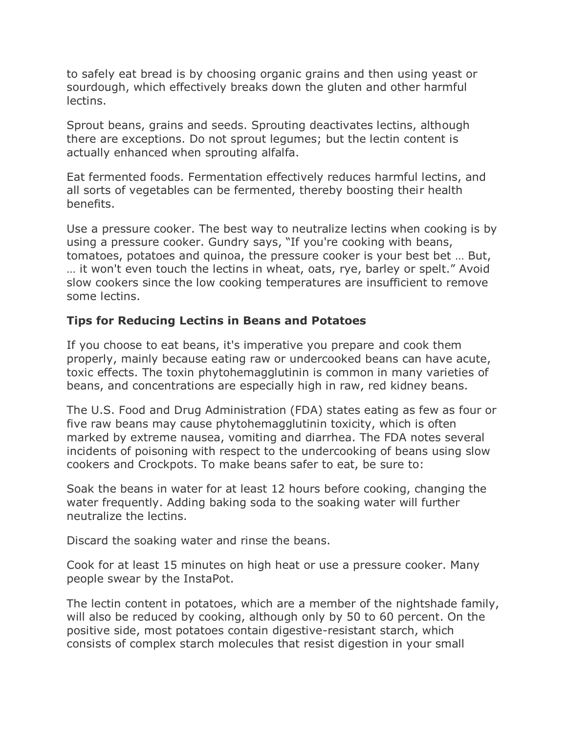to safely eat bread is by choosing organic grains and then using yeast or sourdough, which effectively breaks down the gluten and other harmful lectins.

Sprout beans, grains and seeds. Sprouting deactivates lectins, although there are exceptions. Do not sprout legumes; but the lectin content is actually enhanced when sprouting alfalfa.

Eat fermented foods. Fermentation effectively reduces harmful lectins, and all sorts of vegetables can be fermented, thereby boosting their health benefits.

Use a pressure cooker. The best way to neutralize lectins when cooking is by using a pressure cooker. Gundry says, "If you're cooking with beans, tomatoes, potatoes and quinoa, the pressure cooker is your best bet … But, … it won't even touch the lectins in wheat, oats, rye, barley or spelt." Avoid slow cookers since the low cooking temperatures are insufficient to remove some lectins.

## **Tips for Reducing Lectins in Beans and Potatoes**

If you choose to eat beans, it's imperative you prepare and cook them properly, mainly because eating raw or undercooked beans can have acute, toxic effects. The toxin phytohemagglutinin is common in many varieties of beans, and concentrations are especially high in raw, red kidney beans.

The U.S. Food and Drug Administration (FDA) states eating as few as four or five raw beans may cause phytohemagglutinin toxicity, which is often marked by extreme nausea, vomiting and diarrhea. The FDA notes several incidents of poisoning with respect to the undercooking of beans using slow cookers and Crockpots. To make beans safer to eat, be sure to:

Soak the beans in water for at least 12 hours before cooking, changing the water frequently. Adding baking soda to the soaking water will further neutralize the lectins.

Discard the soaking water and rinse the beans.

Cook for at least 15 minutes on high heat or use a pressure cooker. Many people swear by the InstaPot.

The lectin content in potatoes, which are a member of the nightshade family, will also be reduced by cooking, although only by 50 to 60 percent. On the positive side, most potatoes contain digestive-resistant starch, which consists of complex starch molecules that resist digestion in your small